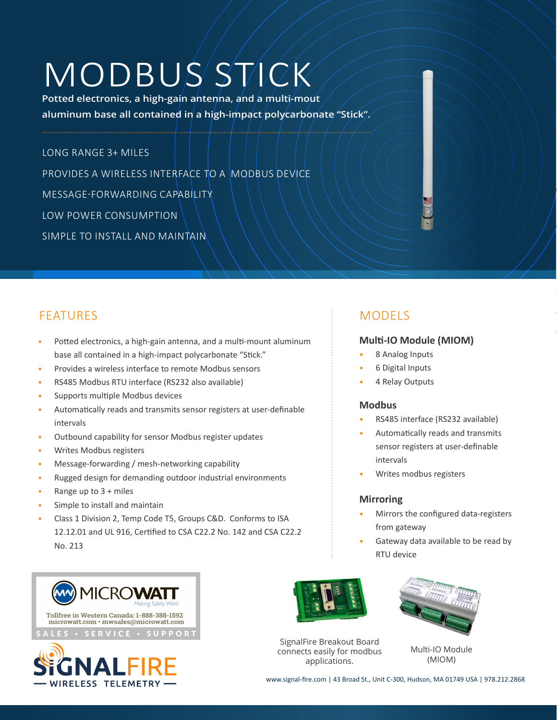# MODBUS STICK

**Potted electronics, a high-gain antenna, and a multi-mout aluminum base all contained in a high-impact polycarbonate "Stick".**

LONG RANGE 3+ MILES PROVIDES A WIRELESS INTERFACE TO A MODBUS DEVICE MESSAGE-FORWARDING CAPABILITY LOW POWER CONSUMPTION SIMPLE TO INSTALL AND MAINTAIN

## FEATURES And the state of the state of the state of the MODELS

- Potted electronics, a high-gain antenna, and a multi-mount aluminum base all contained in a high-impact polycarbonate "Stick."
- Provides a wireless interface to remote Modbus sensors
- RS485 Modbus RTU interface (RS232 also available)
- Supports multiple Modbus devices
- Automatically reads and transmits sensor registers at user-definable intervals
- Outbound capability for sensor Modbus register updates
- Writes Modbus registers
- Message-forwarding / mesh-networking capability
- Rugged design for demanding outdoor industrial environments
- Range up to  $3 +$  miles
- Simple to install and maintain
- Class 1 Division 2, Temp Code T5, Groups C&D. Conforms to ISA 12.12.01 and UL 916, Certified to CSA C22.2 No. 142 and CSA C22.2 No. 213



#### **Multi-IO Module (MIOM)**

- 8 Analog Inputs
- 6 Digital Inputs
- 4 Relay Outputs

#### **Modbus**

- RS485 interface (RS232 available)
- Automatically reads and transmits sensor registers at user-definable intervals
- Writes modbus registers

#### **Mirroring**

- Mirrors the configured data-registers from gateway
- Gateway data available to be read by RTU device







SignalFire Breakout Board connects easily for modbus applications.



Multi-IO Module (MIOM)

www.signal-fire.com | 43 Broad St., Unit C-300, Hudson, MA 01749 USA | 978.212.2868